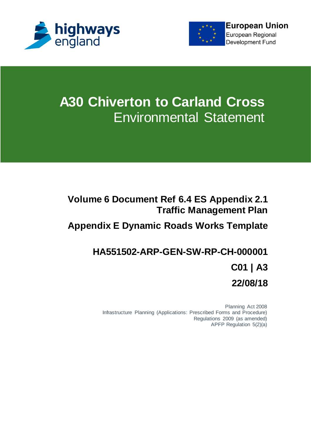



# **A30 Chiverton to Carland Cross** Environmental Statement

### **Volume 6 Document Ref 6.4 ES Appendix 2.1 Traffic Management Plan**

**Appendix E Dynamic Roads Works Template**

## **HA551502-ARP-GEN-SW-RP-CH-000001 C01 | A3 22/08/18**

Planning Act 2008 Infrastructure Planning (Applications: Prescribed Forms and Procedure) Regulations 2009 (as amended) APFP Regulation 5(2)(a)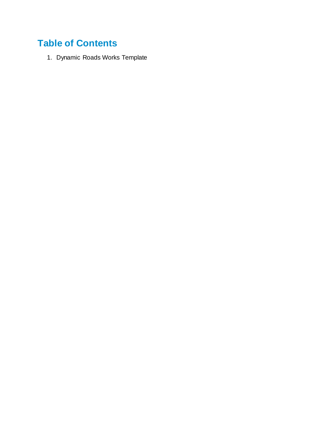### **Table of Contents**

1. Dynamic Roads Works Template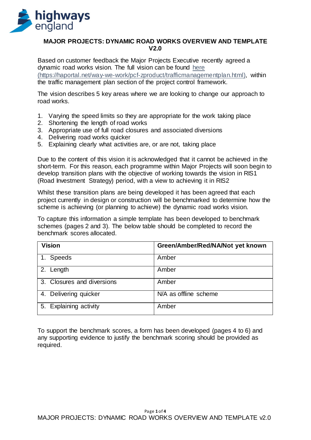

#### **MAJOR PROJECTS: DYNAMIC ROAD WORKS OVERVIEW AND TEMPLATE V2.0**

Based on customer feedback the Major Projects Executive recently agreed a dynamic road works vision. The full vision can be found [here](https://haportal.net/way-we-work/pcf-zproduct/trafficmanagementplan.html) (https://haportal.net/way-we-work/pcf-zproduct/trafficmanagementplan.html), within the traffic management plan section of the project control framework.

The vision describes 5 key areas where we are looking to change our approach to road works.

- 1. Varying the speed limits so they are appropriate for the work taking place
- 2. Shortening the length of road works
- 3. Appropriate use of full road closures and associated diversions
- 4. Delivering road works quicker
- 5. Explaining clearly what activities are, or are not, taking place

Due to the content of this vision it is acknowledged that it cannot be achieved in the short-term. For this reason, each programme within Major Projects will soon begin to develop transition plans with the objective of working towards the vision in RIS1 (Road Investment Strategy) period, with a view to achieving it in RIS2

Whilst these transition plans are being developed it has been agreed that each project currently in design or construction will be benchmarked to determine how the scheme is achieving (or planning to achieve) the dynamic road works vision.

To capture this information a simple template has been developed to benchmark schemes (pages 2 and 3). The below table should be completed to record the benchmark scores allocated.

| <b>Vision</b>              | Green/Amber/Red/NA/Not yet known |
|----------------------------|----------------------------------|
| Speeds                     | Amber                            |
| 2. Length                  | Amber                            |
| 3. Closures and diversions | Amber                            |
| 4. Delivering quicker      | N/A as offline scheme            |
| 5. Explaining activity     | Amber                            |

To support the benchmark scores, a form has been developed (pages 4 to 6) and any supporting evidence to justify the benchmark scoring should be provided as required.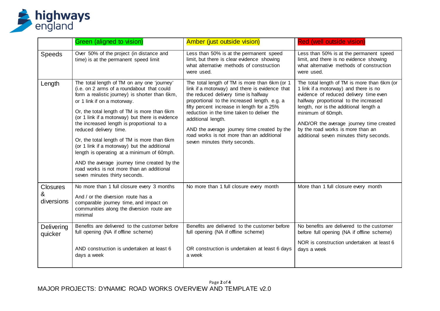

|                                    | Green (aligned to vision)                                                                                                                                                                                                                                                                                                                                                                                                                                                                                                                                                                                                     | Amber (just outside vision)                                                                                                                                                                                                                                                                                                                                                                                                            | <b>Red (well outside vision)</b>                                                                                                                                                                                                                                                                                                                                   |
|------------------------------------|-------------------------------------------------------------------------------------------------------------------------------------------------------------------------------------------------------------------------------------------------------------------------------------------------------------------------------------------------------------------------------------------------------------------------------------------------------------------------------------------------------------------------------------------------------------------------------------------------------------------------------|----------------------------------------------------------------------------------------------------------------------------------------------------------------------------------------------------------------------------------------------------------------------------------------------------------------------------------------------------------------------------------------------------------------------------------------|--------------------------------------------------------------------------------------------------------------------------------------------------------------------------------------------------------------------------------------------------------------------------------------------------------------------------------------------------------------------|
| <b>Speeds</b>                      | Over 50% of the project (in distance and<br>time) is at the permanent speed limit                                                                                                                                                                                                                                                                                                                                                                                                                                                                                                                                             | Less than 50% is at the permanent speed<br>limit, but there is clear evidence showing<br>what alternative methods of construction<br>were used.                                                                                                                                                                                                                                                                                        | Less than 50% is at the permanent speed<br>limit, and there is no evidence showing<br>what alternative methods of construction<br>were used.                                                                                                                                                                                                                       |
| Length                             | The total length of TM on any one 'journey'<br>(i.e. on 2 arms of a roundabout that could<br>form a realistic journey) is shorter than 6km,<br>or 1 link if on a motorway.<br>Or, the total length of TM is more than 6km<br>(or 1 link if a motorway) but there is evidence<br>the increased length is proportional to a<br>reduced delivery time.<br>Or, the total length of TM is more than 6km<br>(or 1 link if a motorway) but the additional<br>length is operating at a minimum of 60mph.<br>AND the average journey time created by the<br>road works is not more than an additional<br>seven minutes thirty seconds. | The total length of TM is more than 6km (or 1<br>link if a motorway) and there is evidence that<br>the reduced delivery time is halfway<br>proportional to the increased length. e.g. a<br>fifty percent increase in length for a 25%<br>reduction in the time taken to deliver the<br>additional length.<br>AND the average journey time created by the<br>road works is not more than an additional<br>seven minutes thirty seconds. | The total length of TM is more than 6km (or<br>1 link if a motorway) and there is no<br>evidence of reduced delivery time even<br>halfway proportional to the increased<br>length, nor is the additional length a<br>minimum of 60mph.<br>AND/OR the average journey time created<br>by the road works is more than an<br>additional seven minutes thirty seconds. |
| <b>Closures</b><br>&<br>diversions | No more than 1 full closure every 3 months<br>And / or the diversion route has a<br>comparable journey time, and impact on<br>communities along the diversion route are<br>minimal                                                                                                                                                                                                                                                                                                                                                                                                                                            | No more than 1 full closure every month                                                                                                                                                                                                                                                                                                                                                                                                | More than 1 full closure every month                                                                                                                                                                                                                                                                                                                               |
| Delivering<br>quicker              | Benefits are delivered to the customer before<br>full opening (NA if offline scheme)<br>AND construction is undertaken at least 6<br>days a week                                                                                                                                                                                                                                                                                                                                                                                                                                                                              | Benefits are delivered to the customer before<br>full opening (NA if offline scheme)<br>OR construction is undertaken at least 6 days<br>a week                                                                                                                                                                                                                                                                                        | No benefits are delivered to the customer<br>before full opening (NA if offline scheme)<br>NOR is construction undertaken at least 6<br>days a week                                                                                                                                                                                                                |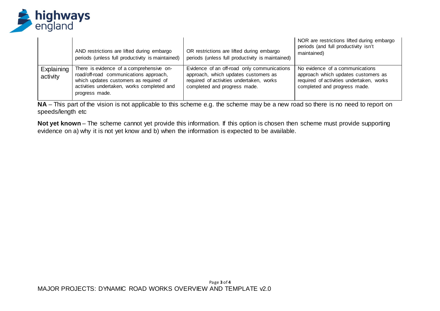

|                        | AND restrictions are lifted during embargo<br>periods (unless full productivity is maintained)                                                                                               | OR restrictions are lifted during embargo<br>periods (unless full productivity is maintained)                                                                   | NOR are restrictions lifted during embargo<br>periods (and full productivity isn't<br>maintained)                                                  |
|------------------------|----------------------------------------------------------------------------------------------------------------------------------------------------------------------------------------------|-----------------------------------------------------------------------------------------------------------------------------------------------------------------|----------------------------------------------------------------------------------------------------------------------------------------------------|
| Explaining<br>activity | There is evidence of a comprehensive on-<br>road/off-road communications approach,<br>which updates customers as required of<br>activities undertaken, works completed and<br>progress made. | Evidence of an off-road only communications<br>approach, which updates customers as<br>required of activities undertaken, works<br>completed and progress made. | No evidence of a communications<br>approach which updates customers as<br>required of activities undertaken, works<br>completed and progress made. |

**NA** – This part of the vision is not applicable to this scheme e.g. the scheme may be a new road so there is no need to report on speeds/length etc

**Not yet known** – The scheme cannot yet provide this information. If this option is chosen then scheme must provide supporting evidence on a) why it is not yet know and b) when the information is expected to be available.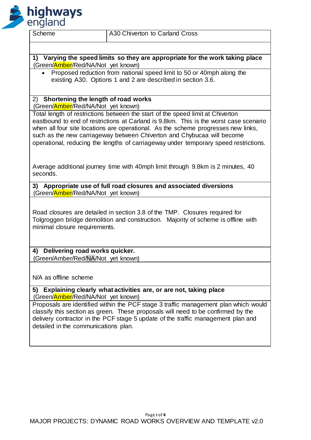

### **1) Varying the speed limits so they are appropriate for the work taking place** (Green/Amber/Red/NA/Not yet known)

• Proposed reduction from national speed limit to 50 or 40mph along the existing A30. Options 1 and 2 are described in section 3.6.

#### 2) **Shortening the length of road works**  (Green/Amber/Red/NA/Not yet known)

Total length of restrictions between the start of the speed limit at Chiverton eastbound to end of restrictions at Carland is 9.8km. This is the worst case scenario when all four site locations are operational. As the scheme progresses new links, such as the new carriageway between Chiverton and Chybucaa will become operational, reducing the lengths of carriageway under temporary speed restrictions.

Average additional journey time with 40mph limit through 9.8km is 2 minutes, 40 seconds.

**3) Appropriate use of full road closures and associated diversions**  (Green/Amber/Red/NA/Not yet known)

Road closures are detailed in section 3.8 of the TMP. Closures required for Tolgroggen bridge demolition and construction. Majority of scheme is offline with minimal closure requirements.

**4) Delivering road works quicker.** (Green/Amber/Red/NA/Not yet known)

N/A as offline scheme

**5) Explaining clearly what activities are, or are not, taking place**  (Green/Amber/Red/NA/Not yet known)

Proposals are identified within the PCF stage 3 traffic management plan which would classify this section as green. These proposals will need to be confirmed by the delivery contractor in the PCF stage 5 update of the traffic management plan and detailed in the communications plan.